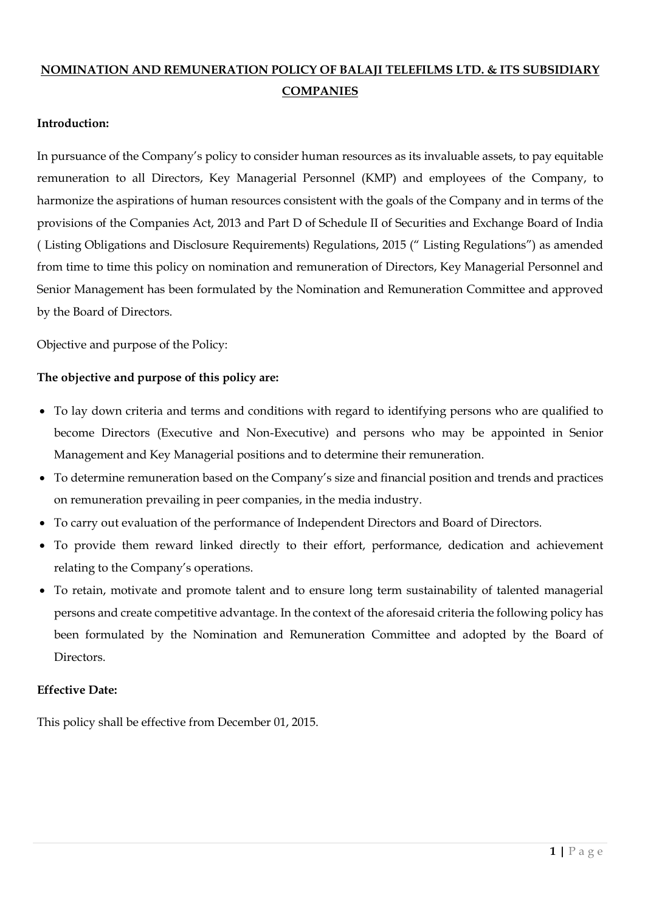# NOMINATION AND REMUNERATION POLICY OF BALAJI TELEFILMS LTD. & ITS SUBSIDIARY **COMPANIES**

# Introduction:

In pursuance of the Company's policy to consider human resources as its invaluable assets, to pay equitable remuneration to all Directors, Key Managerial Personnel (KMP) and employees of the Company, to harmonize the aspirations of human resources consistent with the goals of the Company and in terms of the provisions of the Companies Act, 2013 and Part D of Schedule II of Securities and Exchange Board of India ( Listing Obligations and Disclosure Requirements) Regulations, 2015 (" Listing Regulations") as amended from time to time this policy on nomination and remuneration of Directors, Key Managerial Personnel and Senior Management has been formulated by the Nomination and Remuneration Committee and approved by the Board of Directors.

Objective and purpose of the Policy:

### The objective and purpose of this policy are:

- To lay down criteria and terms and conditions with regard to identifying persons who are qualified to become Directors (Executive and Non-Executive) and persons who may be appointed in Senior Management and Key Managerial positions and to determine their remuneration.
- To determine remuneration based on the Company's size and financial position and trends and practices on remuneration prevailing in peer companies, in the media industry.
- To carry out evaluation of the performance of Independent Directors and Board of Directors.
- To provide them reward linked directly to their effort, performance, dedication and achievement relating to the Company's operations.
- To retain, motivate and promote talent and to ensure long term sustainability of talented managerial persons and create competitive advantage. In the context of the aforesaid criteria the following policy has been formulated by the Nomination and Remuneration Committee and adopted by the Board of Directors.

#### Effective Date:

This policy shall be effective from December 01, 2015.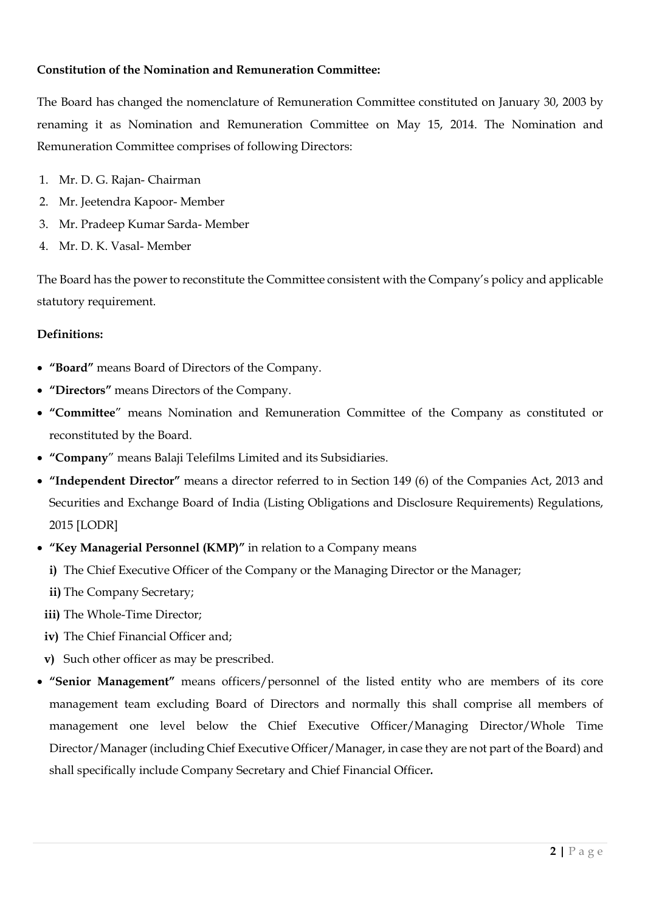# Constitution of the Nomination and Remuneration Committee:

The Board has changed the nomenclature of Remuneration Committee constituted on January 30, 2003 by renaming it as Nomination and Remuneration Committee on May 15, 2014. The Nomination and Remuneration Committee comprises of following Directors:

- 1. Mr. D. G. Rajan- Chairman
- 2. Mr. Jeetendra Kapoor- Member
- 3. Mr. Pradeep Kumar Sarda- Member
- 4. Mr. D. K. Vasal- Member

The Board has the power to reconstitute the Committee consistent with the Company's policy and applicable statutory requirement.

#### Definitions:

- "Board" means Board of Directors of the Company.
- "Directors" means Directors of the Company.
- "Committee" means Nomination and Remuneration Committee of the Company as constituted or reconstituted by the Board.
- "Company" means Balaji Telefilms Limited and its Subsidiaries.
- "Independent Director" means a director referred to in Section 149 (6) of the Companies Act, 2013 and Securities and Exchange Board of India (Listing Obligations and Disclosure Requirements) Regulations, 2015 [LODR]
- "Key Managerial Personnel (KMP)" in relation to a Company means
	- i) The Chief Executive Officer of the Company or the Managing Director or the Manager;
	- ii) The Company Secretary;
	- iii) The Whole-Time Director;
	- iv) The Chief Financial Officer and;
	- v) Such other officer as may be prescribed.
- "Senior Management" means officers/personnel of the listed entity who are members of its core management team excluding Board of Directors and normally this shall comprise all members of management one level below the Chief Executive Officer/Managing Director/Whole Time Director/Manager (including Chief Executive Officer/Manager, in case they are not part of the Board) and shall specifically include Company Secretary and Chief Financial Officer.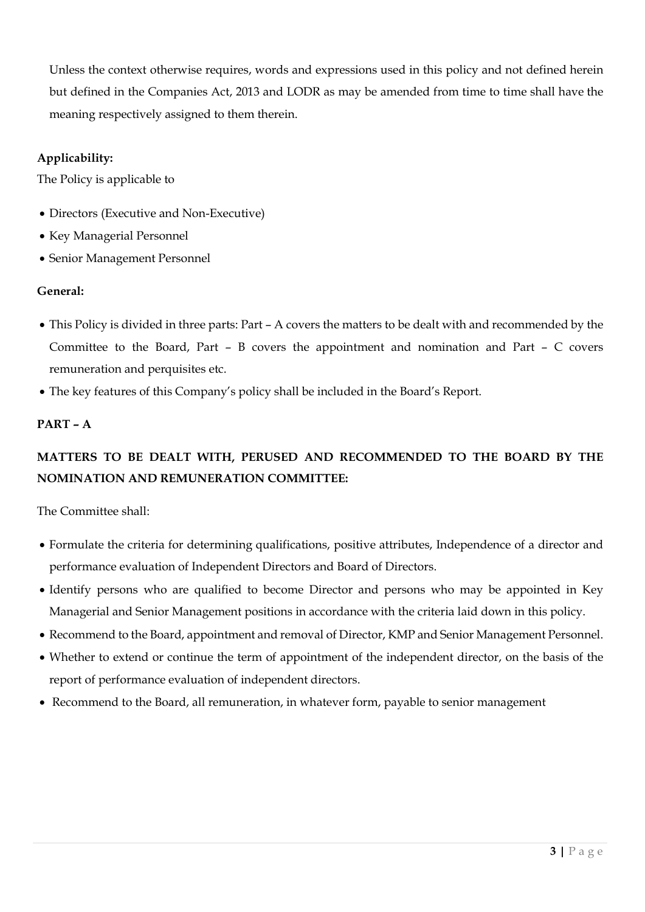Unless the context otherwise requires, words and expressions used in this policy and not defined herein but defined in the Companies Act, 2013 and LODR as may be amended from time to time shall have the meaning respectively assigned to them therein.

# Applicability:

The Policy is applicable to

- Directors (Executive and Non-Executive)
- Key Managerial Personnel
- Senior Management Personnel

# General:

- This Policy is divided in three parts: Part A covers the matters to be dealt with and recommended by the Committee to the Board, Part – B covers the appointment and nomination and Part – C covers remuneration and perquisites etc.
- The key features of this Company's policy shall be included in the Board's Report.

# PART – A

# MATTERS TO BE DEALT WITH, PERUSED AND RECOMMENDED TO THE BOARD BY THE NOMINATION AND REMUNERATION COMMITTEE:

The Committee shall:

- Formulate the criteria for determining qualifications, positive attributes, Independence of a director and performance evaluation of Independent Directors and Board of Directors.
- Identify persons who are qualified to become Director and persons who may be appointed in Key Managerial and Senior Management positions in accordance with the criteria laid down in this policy.
- Recommend to the Board, appointment and removal of Director, KMP and Senior Management Personnel.
- Whether to extend or continue the term of appointment of the independent director, on the basis of the report of performance evaluation of independent directors.
- Recommend to the Board, all remuneration, in whatever form, payable to senior management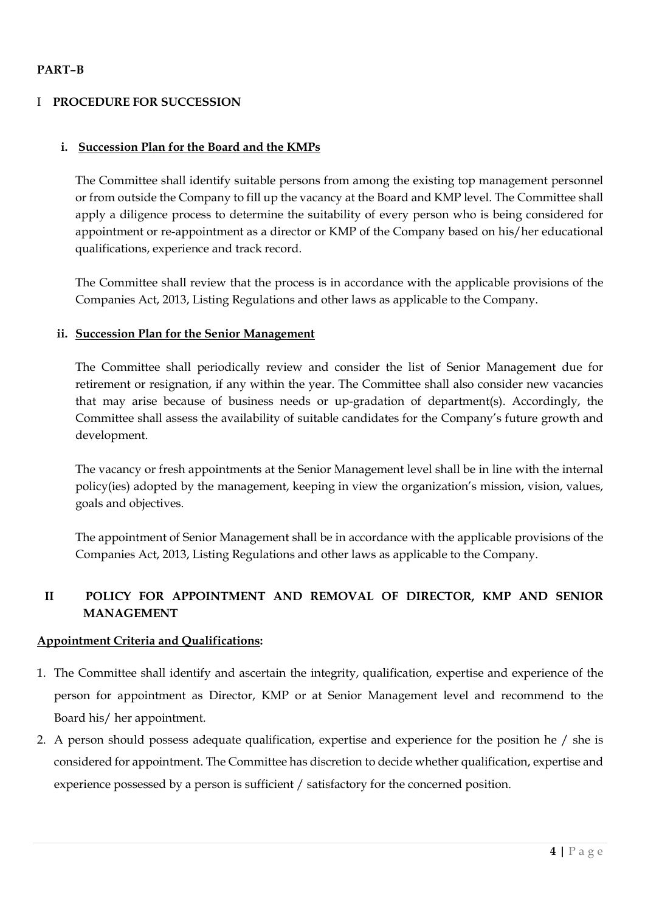# PART–B

## I PROCEDURE FOR SUCCESSION

#### i. Succession Plan for the Board and the KMPs

The Committee shall identify suitable persons from among the existing top management personnel or from outside the Company to fill up the vacancy at the Board and KMP level. The Committee shall apply a diligence process to determine the suitability of every person who is being considered for appointment or re-appointment as a director or KMP of the Company based on his/her educational qualifications, experience and track record.

The Committee shall review that the process is in accordance with the applicable provisions of the Companies Act, 2013, Listing Regulations and other laws as applicable to the Company.

#### ii. Succession Plan for the Senior Management

The Committee shall periodically review and consider the list of Senior Management due for retirement or resignation, if any within the year. The Committee shall also consider new vacancies that may arise because of business needs or up-gradation of department(s). Accordingly, the Committee shall assess the availability of suitable candidates for the Company's future growth and development.

The vacancy or fresh appointments at the Senior Management level shall be in line with the internal policy(ies) adopted by the management, keeping in view the organization's mission, vision, values, goals and objectives.

The appointment of Senior Management shall be in accordance with the applicable provisions of the Companies Act, 2013, Listing Regulations and other laws as applicable to the Company.

# II POLICY FOR APPOINTMENT AND REMOVAL OF DIRECTOR, KMP AND SENIOR MANAGEMENT

#### Appointment Criteria and Qualifications:

- 1. The Committee shall identify and ascertain the integrity, qualification, expertise and experience of the person for appointment as Director, KMP or at Senior Management level and recommend to the Board his/ her appointment.
- 2. A person should possess adequate qualification, expertise and experience for the position he / she is considered for appointment. The Committee has discretion to decide whether qualification, expertise and experience possessed by a person is sufficient / satisfactory for the concerned position.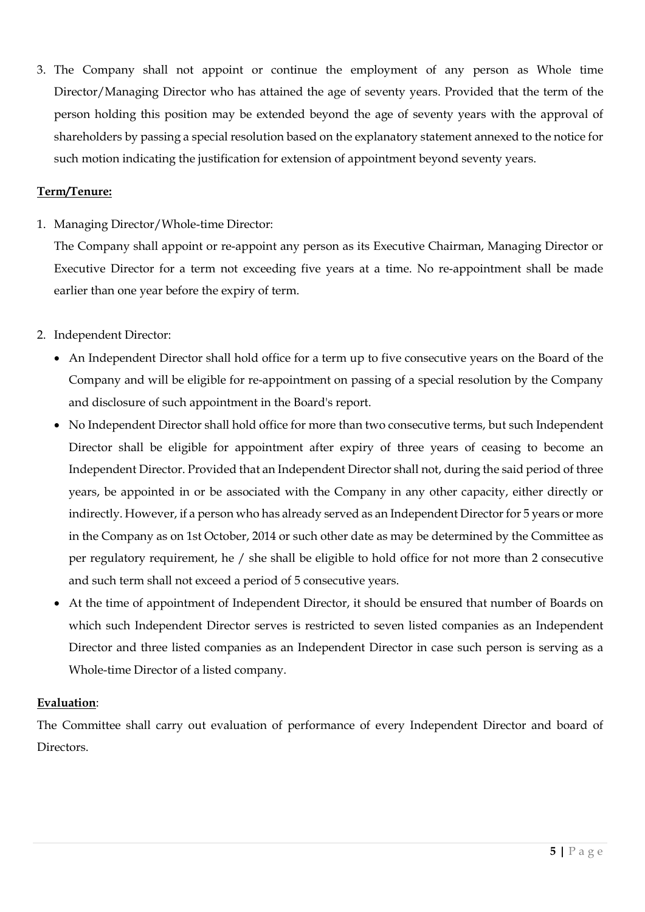3. The Company shall not appoint or continue the employment of any person as Whole time Director/Managing Director who has attained the age of seventy years. Provided that the term of the person holding this position may be extended beyond the age of seventy years with the approval of shareholders by passing a special resolution based on the explanatory statement annexed to the notice for such motion indicating the justification for extension of appointment beyond seventy years.

### Term/Tenure:

1. Managing Director/Whole-time Director:

The Company shall appoint or re-appoint any person as its Executive Chairman, Managing Director or Executive Director for a term not exceeding five years at a time. No re-appointment shall be made earlier than one year before the expiry of term.

- 2. Independent Director:
	- An Independent Director shall hold office for a term up to five consecutive years on the Board of the Company and will be eligible for re-appointment on passing of a special resolution by the Company and disclosure of such appointment in the Board's report.
	- No Independent Director shall hold office for more than two consecutive terms, but such Independent Director shall be eligible for appointment after expiry of three years of ceasing to become an Independent Director. Provided that an Independent Director shall not, during the said period of three years, be appointed in or be associated with the Company in any other capacity, either directly or indirectly. However, if a person who has already served as an Independent Director for 5 years or more in the Company as on 1st October, 2014 or such other date as may be determined by the Committee as per regulatory requirement, he / she shall be eligible to hold office for not more than 2 consecutive and such term shall not exceed a period of 5 consecutive years.
	- At the time of appointment of Independent Director, it should be ensured that number of Boards on which such Independent Director serves is restricted to seven listed companies as an Independent Director and three listed companies as an Independent Director in case such person is serving as a Whole-time Director of a listed company.

#### Evaluation:

The Committee shall carry out evaluation of performance of every Independent Director and board of Directors.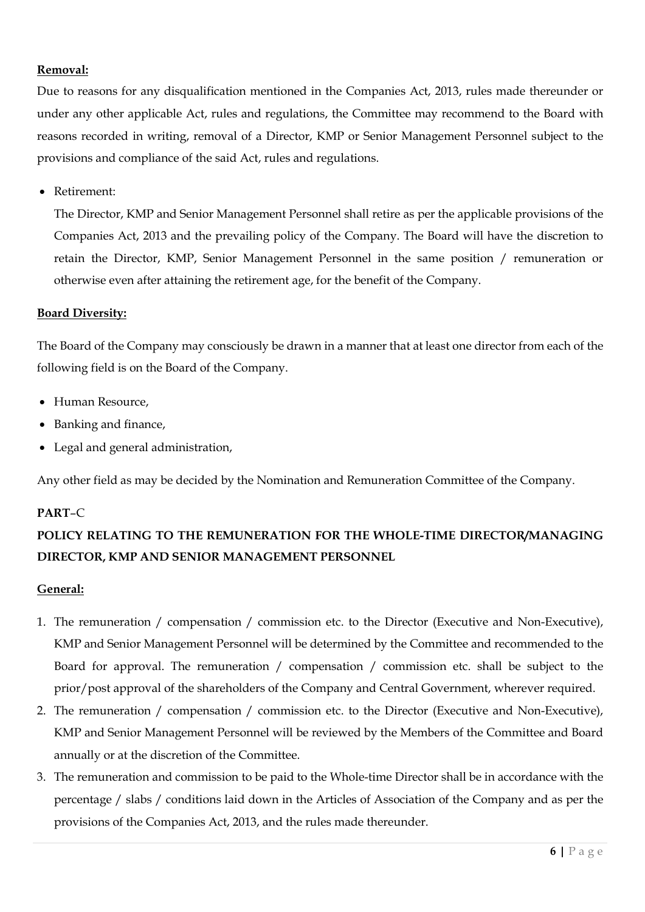### Removal:

Due to reasons for any disqualification mentioned in the Companies Act, 2013, rules made thereunder or under any other applicable Act, rules and regulations, the Committee may recommend to the Board with reasons recorded in writing, removal of a Director, KMP or Senior Management Personnel subject to the provisions and compliance of the said Act, rules and regulations.

• Retirement:

The Director, KMP and Senior Management Personnel shall retire as per the applicable provisions of the Companies Act, 2013 and the prevailing policy of the Company. The Board will have the discretion to retain the Director, KMP, Senior Management Personnel in the same position / remuneration or otherwise even after attaining the retirement age, for the benefit of the Company.

### Board Diversity:

The Board of the Company may consciously be drawn in a manner that at least one director from each of the following field is on the Board of the Company.

- Human Resource.
- Banking and finance,
- Legal and general administration,

Any other field as may be decided by the Nomination and Remuneration Committee of the Company.

# PART–C

# POLICY RELATING TO THE REMUNERATION FOR THE WHOLE-TIME DIRECTOR/MANAGING DIRECTOR, KMP AND SENIOR MANAGEMENT PERSONNEL

# General:

- 1. The remuneration / compensation / commission etc. to the Director (Executive and Non-Executive), KMP and Senior Management Personnel will be determined by the Committee and recommended to the Board for approval. The remuneration / compensation / commission etc. shall be subject to the prior/post approval of the shareholders of the Company and Central Government, wherever required.
- 2. The remuneration / compensation / commission etc. to the Director (Executive and Non-Executive), KMP and Senior Management Personnel will be reviewed by the Members of the Committee and Board annually or at the discretion of the Committee.
- 3. The remuneration and commission to be paid to the Whole-time Director shall be in accordance with the percentage / slabs / conditions laid down in the Articles of Association of the Company and as per the provisions of the Companies Act, 2013, and the rules made thereunder.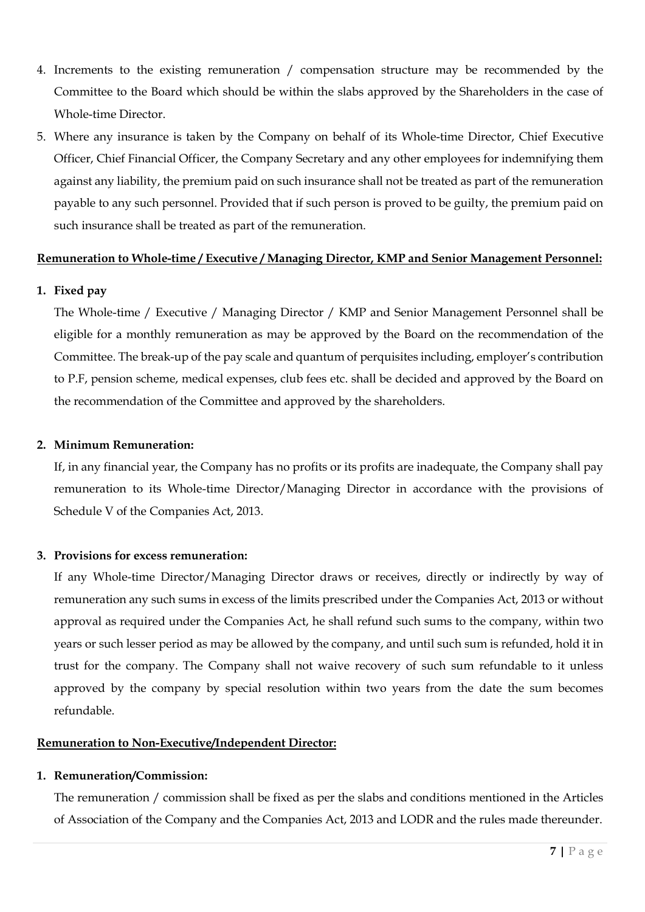- 4. Increments to the existing remuneration / compensation structure may be recommended by the Committee to the Board which should be within the slabs approved by the Shareholders in the case of Whole-time Director.
- 5. Where any insurance is taken by the Company on behalf of its Whole-time Director, Chief Executive Officer, Chief Financial Officer, the Company Secretary and any other employees for indemnifying them against any liability, the premium paid on such insurance shall not be treated as part of the remuneration payable to any such personnel. Provided that if such person is proved to be guilty, the premium paid on such insurance shall be treated as part of the remuneration.

#### Remuneration to Whole-time / Executive / Managing Director, KMP and Senior Management Personnel:

#### 1. Fixed pay

The Whole-time / Executive / Managing Director / KMP and Senior Management Personnel shall be eligible for a monthly remuneration as may be approved by the Board on the recommendation of the Committee. The break-up of the pay scale and quantum of perquisites including, employer's contribution to P.F, pension scheme, medical expenses, club fees etc. shall be decided and approved by the Board on the recommendation of the Committee and approved by the shareholders.

#### 2. Minimum Remuneration:

If, in any financial year, the Company has no profits or its profits are inadequate, the Company shall pay remuneration to its Whole-time Director/Managing Director in accordance with the provisions of Schedule V of the Companies Act, 2013.

#### 3. Provisions for excess remuneration:

If any Whole-time Director/Managing Director draws or receives, directly or indirectly by way of remuneration any such sums in excess of the limits prescribed under the Companies Act, 2013 or without approval as required under the Companies Act, he shall refund such sums to the company, within two years or such lesser period as may be allowed by the company, and until such sum is refunded, hold it in trust for the company. The Company shall not waive recovery of such sum refundable to it unless approved by the company by special resolution within two years from the date the sum becomes refundable.

#### Remuneration to Non-Executive/Independent Director:

#### 1. Remuneration/Commission:

The remuneration / commission shall be fixed as per the slabs and conditions mentioned in the Articles of Association of the Company and the Companies Act, 2013 and LODR and the rules made thereunder.